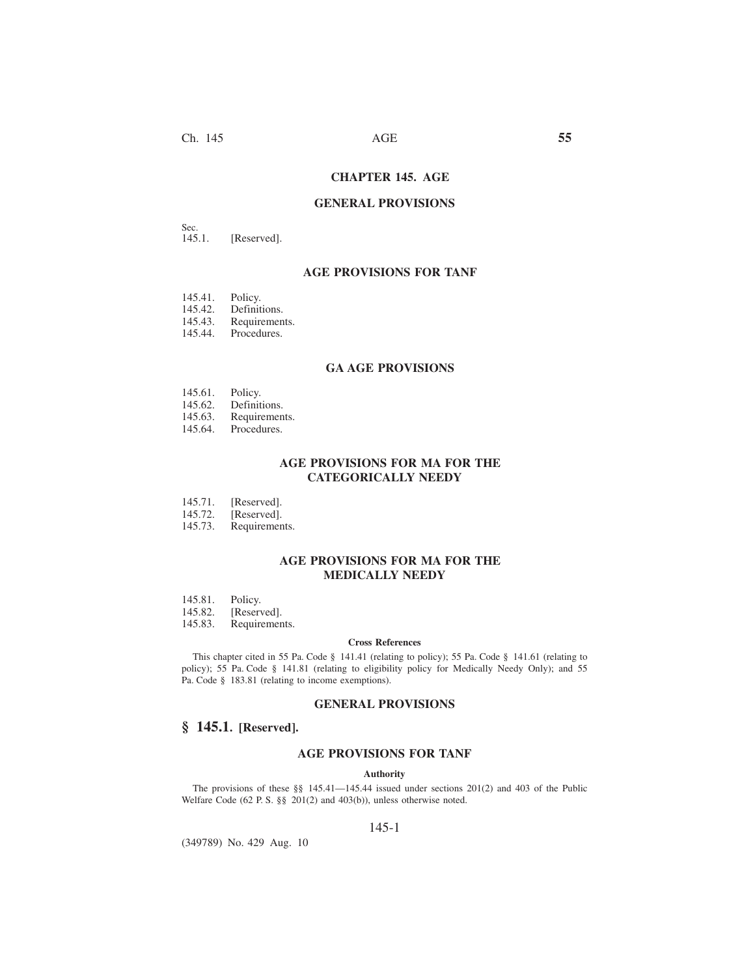# **CHAPTER 145. AGE**

### **GENERAL PROVISIONS**

Sec.<br>145.1. [Reserved].

## **AGE PROVISIONS FOR TANF**

- 145.41. Policy.<br>145.42. Definit
- 
- 145.42. Definitions.<br>145.43. Requiremen 145.43. Requirements.<br>145.44. Procedures.
- Procedures.

### **GA AGE PROVISIONS**

- 
- 145.61. Policy.<br>145.62. Definit
- 145.62. Definitions.<br>145.63. Requiremen 145.63. Requirements.<br>145.64. Procedures.
- Procedures.

## **AGE PROVISIONS FOR MA FOR THE CATEGORICALLY NEEDY**

- 145.71. [Reserved].<br>145.72. [Reserved].
- 145.72. [Reserved].<br>145.73. Requirement
- Requirements.

## **AGE PROVISIONS FOR MA FOR THE MEDICALLY NEEDY**

- 145.81. Policy.<br>145.82. [Reserv
- 
- 145.82. [Reserved].<br>145.83. Requiremen Requirements.

#### **Cross References**

This chapter cited in 55 Pa. Code § 141.41 (relating to policy); 55 Pa. Code § 141.61 (relating to policy); 55 Pa. Code § 141.81 (relating to eligibility policy for Medically Needy Only); and 55 Pa. Code § 183.81 (relating to income exemptions).

### **GENERAL PROVISIONS**

## **§ 145.1. [Reserved].**

## **AGE PROVISIONS FOR TANF**

#### **Authority**

The provisions of these §§ 145.41—145.44 issued under sections 201(2) and 403 of the Public Welfare Code (62 P. S. §§ 201(2) and 403(b)), unless otherwise noted.

### 145-1

(349789) No. 429 Aug. 10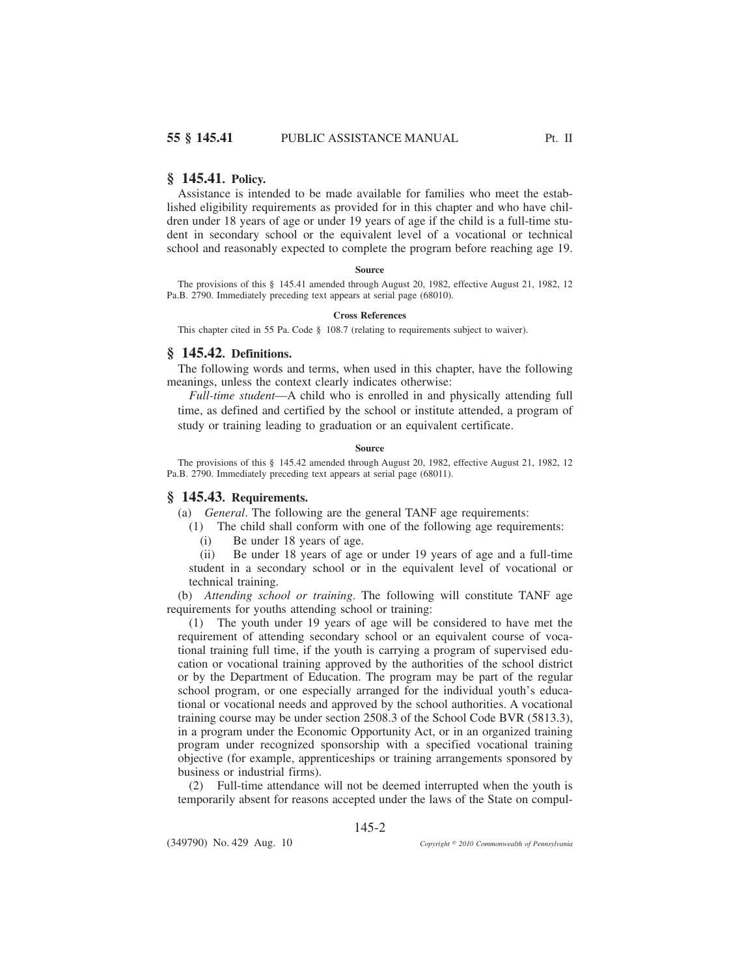### **§ 145.41. Policy.**

Assistance is intended to be made available for families who meet the established eligibility requirements as provided for in this chapter and who have children under 18 years of age or under 19 years of age if the child is a full-time student in secondary school or the equivalent level of a vocational or technical school and reasonably expected to complete the program before reaching age 19.

#### **Source**

The provisions of this § 145.41 amended through August 20, 1982, effective August 21, 1982, 12 Pa.B. 2790. Immediately preceding text appears at serial page (68010).

#### **Cross References**

This chapter cited in 55 Pa. Code § 108.7 (relating to requirements subject to waiver).

## **§ 145.42. Definitions.**

The following words and terms, when used in this chapter, have the following meanings, unless the context clearly indicates otherwise:

*Full-time student*—A child who is enrolled in and physically attending full time, as defined and certified by the school or institute attended, a program of study or training leading to graduation or an equivalent certificate.

#### **Source**

The provisions of this § 145.42 amended through August 20, 1982, effective August 21, 1982, 12 Pa.B. 2790. Immediately preceding text appears at serial page (68011).

### **§ 145.43. Requirements.**

(a) *General*. The following are the general TANF age requirements:

(1) The child shall conform with one of the following age requirements:

(i) Be under 18 years of age.

(ii) Be under 18 years of age or under 19 years of age and a full-time student in a secondary school or in the equivalent level of vocational or technical training.

(b) *Attending school or training*. The following will constitute TANF age requirements for youths attending school or training:

(1) The youth under 19 years of age will be considered to have met the requirement of attending secondary school or an equivalent course of vocational training full time, if the youth is carrying a program of supervised education or vocational training approved by the authorities of the school district or by the Department of Education. The program may be part of the regular school program, or one especially arranged for the individual youth's educational or vocational needs and approved by the school authorities. A vocational training course may be under section 2508.3 of the School Code BVR (5813.3), in a program under the Economic Opportunity Act, or in an organized training program under recognized sponsorship with a specified vocational training objective (for example, apprenticeships or training arrangements sponsored by business or industrial firms).

(2) Full-time attendance will not be deemed interrupted when the youth is temporarily absent for reasons accepted under the laws of the State on compul-

145-2

(349790) No. 429 Aug. 10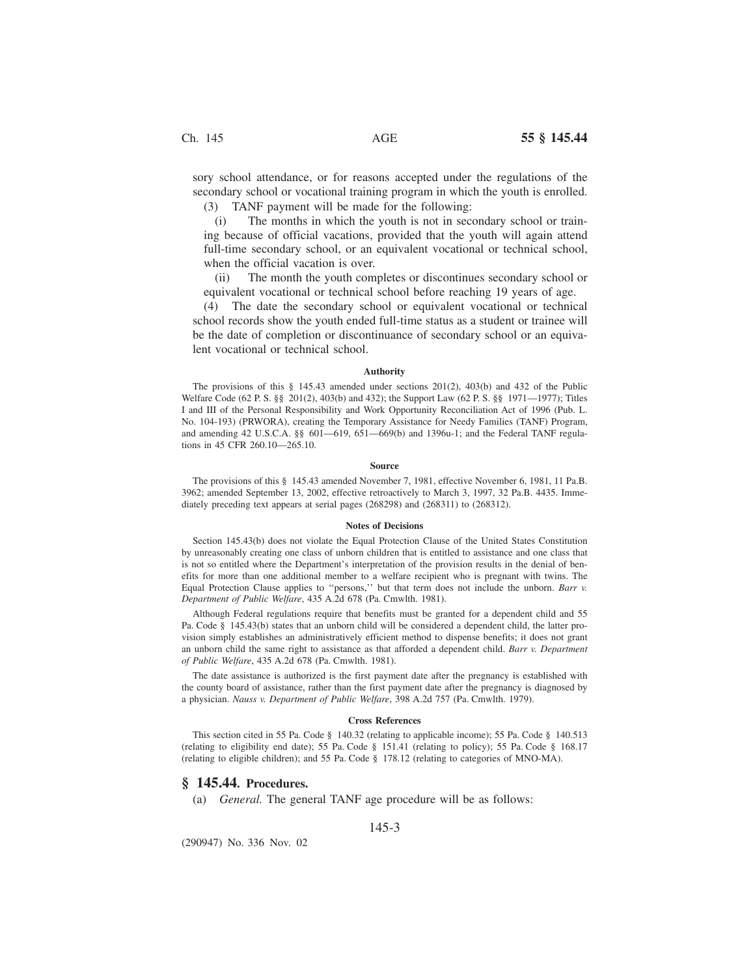sory school attendance, or for reasons accepted under the regulations of the secondary school or vocational training program in which the youth is enrolled. (3) TANF payment will be made for the following:

(i) The months in which the youth is not in secondary school or training because of official vacations, provided that the youth will again attend full-time secondary school, or an equivalent vocational or technical school, when the official vacation is over.

(ii) The month the youth completes or discontinues secondary school or equivalent vocational or technical school before reaching 19 years of age.

(4) The date the secondary school or equivalent vocational or technical school records show the youth ended full-time status as a student or trainee will be the date of completion or discontinuance of secondary school or an equivalent vocational or technical school.

### **Authority**

The provisions of this § 145.43 amended under sections 201(2), 403(b) and 432 of the Public Welfare Code (62 P. S. §§ 201(2), 403(b) and 432); the Support Law (62 P. S. §§ 1971—1977); Titles I and III of the Personal Responsibility and Work Opportunity Reconciliation Act of 1996 (Pub. L. No. 104-193) (PRWORA), creating the Temporary Assistance for Needy Families (TANF) Program, and amending 42 U.S.C.A. §§ 601—619, 651—669(b) and 1396u-1; and the Federal TANF regulations in 45 CFR 260.10—265.10.

#### **Source**

The provisions of this § 145.43 amended November 7, 1981, effective November 6, 1981, 11 Pa.B. 3962; amended September 13, 2002, effective retroactively to March 3, 1997, 32 Pa.B. 4435. Immediately preceding text appears at serial pages (268298) and (268311) to (268312).

#### **Notes of Decisions**

Section 145.43(b) does not violate the Equal Protection Clause of the United States Constitution by unreasonably creating one class of unborn children that is entitled to assistance and one class that is not so entitled where the Department's interpretation of the provision results in the denial of benefits for more than one additional member to a welfare recipient who is pregnant with twins. The Equal Protection Clause applies to ''persons,'' but that term does not include the unborn. *Barr v. Department of Public Welfare*, 435 A.2d 678 (Pa. Cmwlth. 1981).

Although Federal regulations require that benefits must be granted for a dependent child and 55 Pa. Code § 145.43(b) states that an unborn child will be considered a dependent child, the latter provision simply establishes an administratively efficient method to dispense benefits; it does not grant an unborn child the same right to assistance as that afforded a dependent child. *Barr v. Department of Public Welfare*, 435 A.2d 678 (Pa. Cmwlth. 1981).

The date assistance is authorized is the first payment date after the pregnancy is established with the county board of assistance, rather than the first payment date after the pregnancy is diagnosed by a physician. *Nauss v. Department of Public Welfare*, 398 A.2d 757 (Pa. Cmwlth. 1979).

#### **Cross References**

This section cited in 55 Pa. Code § 140.32 (relating to applicable income); 55 Pa. Code § 140.513 (relating to eligibility end date); 55 Pa. Code § 151.41 (relating to policy); 55 Pa. Code § 168.17 (relating to eligible children); and 55 Pa. Code § 178.12 (relating to categories of MNO-MA).

### **§ 145.44. Procedures.**

(a) *General.* The general TANF age procedure will be as follows:

145-3

(290947) No. 336 Nov. 02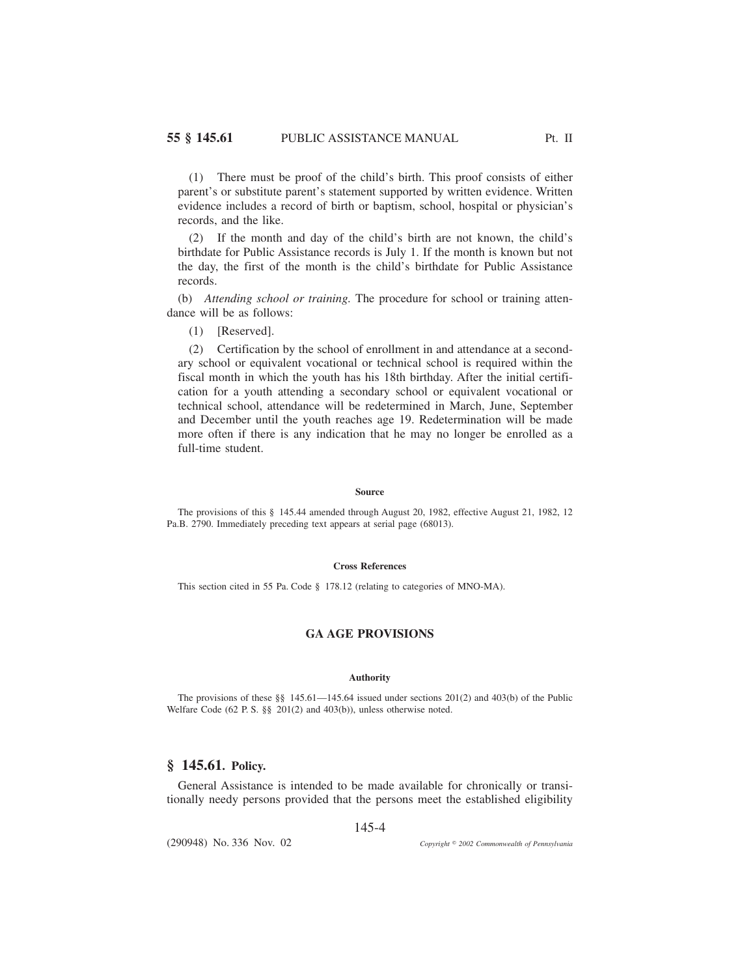(1) There must be proof of the child's birth. This proof consists of either parent's or substitute parent's statement supported by written evidence. Written evidence includes a record of birth or baptism, school, hospital or physician's records, and the like.

(2) If the month and day of the child's birth are not known, the child's birthdate for Public Assistance records is July 1. If the month is known but not the day, the first of the month is the child's birthdate for Public Assistance records.

(b) *Attending school or training.* The procedure for school or training attendance will be as follows:

(1) [Reserved].

(2) Certification by the school of enrollment in and attendance at a secondary school or equivalent vocational or technical school is required within the fiscal month in which the youth has his 18th birthday. After the initial certification for a youth attending a secondary school or equivalent vocational or technical school, attendance will be redetermined in March, June, September and December until the youth reaches age 19. Redetermination will be made more often if there is any indication that he may no longer be enrolled as a full-time student.

#### **Source**

The provisions of this § 145.44 amended through August 20, 1982, effective August 21, 1982, 12 Pa.B. 2790. Immediately preceding text appears at serial page (68013).

#### **Cross References**

This section cited in 55 Pa. Code § 178.12 (relating to categories of MNO-MA).

## **GA AGE PROVISIONS**

#### **Authority**

The provisions of these §§ 145.61—145.64 issued under sections 201(2) and 403(b) of the Public Welfare Code (62 P. S. §§ 201(2) and 403(b)), unless otherwise noted.

## **§ 145.61. Policy.**

General Assistance is intended to be made available for chronically or transitionally needy persons provided that the persons meet the established eligibility

### 145-4

(290948) No. 336 Nov. 02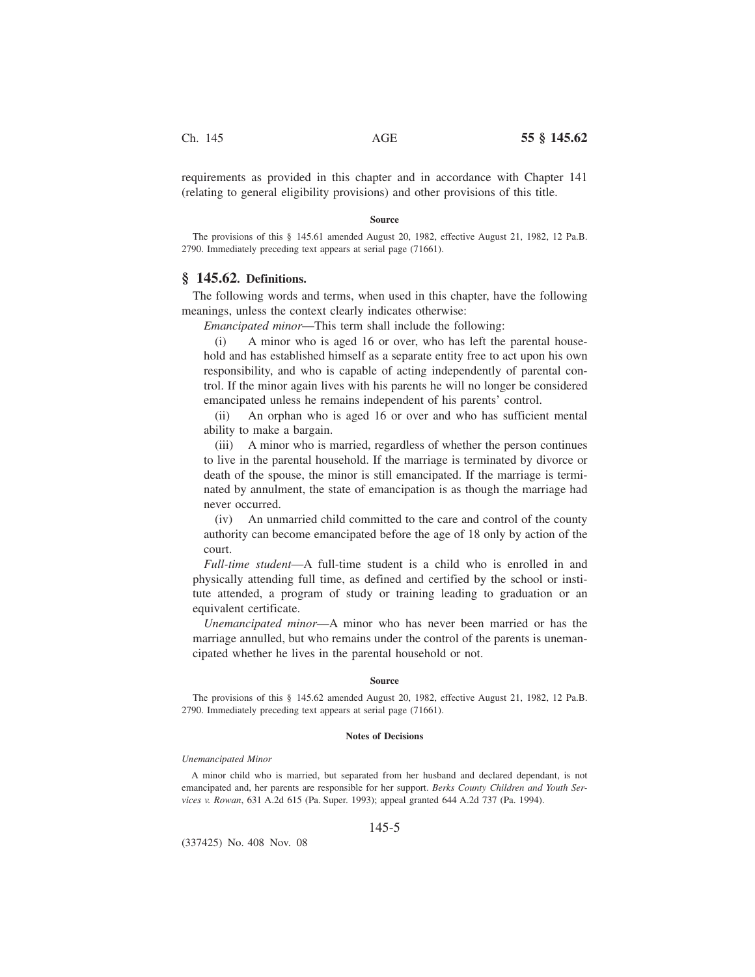requirements as provided in this chapter and in accordance with Chapter 141 (relating to general eligibility provisions) and other provisions of this title.

#### **Source**

The provisions of this § 145.61 amended August 20, 1982, effective August 21, 1982, 12 Pa.B. 2790. Immediately preceding text appears at serial page (71661).

## **§ 145.62. Definitions.**

The following words and terms, when used in this chapter, have the following meanings, unless the context clearly indicates otherwise:

*Emancipated minor*—This term shall include the following:

(i) A minor who is aged 16 or over, who has left the parental household and has established himself as a separate entity free to act upon his own responsibility, and who is capable of acting independently of parental control. If the minor again lives with his parents he will no longer be considered emancipated unless he remains independent of his parents' control.

(ii) An orphan who is aged 16 or over and who has sufficient mental ability to make a bargain.

(iii) A minor who is married, regardless of whether the person continues to live in the parental household. If the marriage is terminated by divorce or death of the spouse, the minor is still emancipated. If the marriage is terminated by annulment, the state of emancipation is as though the marriage had never occurred.

(iv) An unmarried child committed to the care and control of the county authority can become emancipated before the age of 18 only by action of the court.

*Full-time student*—A full-time student is a child who is enrolled in and physically attending full time, as defined and certified by the school or institute attended, a program of study or training leading to graduation or an equivalent certificate.

*Unemancipated minor*—A minor who has never been married or has the marriage annulled, but who remains under the control of the parents is unemancipated whether he lives in the parental household or not.

### **Source**

The provisions of this § 145.62 amended August 20, 1982, effective August 21, 1982, 12 Pa.B. 2790. Immediately preceding text appears at serial page (71661).

#### **Notes of Decisions**

#### *Unemancipated Minor*

A minor child who is married, but separated from her husband and declared dependant, is not emancipated and, her parents are responsible for her support. *Berks County Children and Youth Services v. Rowan*, 631 A.2d 615 (Pa. Super. 1993); appeal granted 644 A.2d 737 (Pa. 1994).

### 145-5

(337425) No. 408 Nov. 08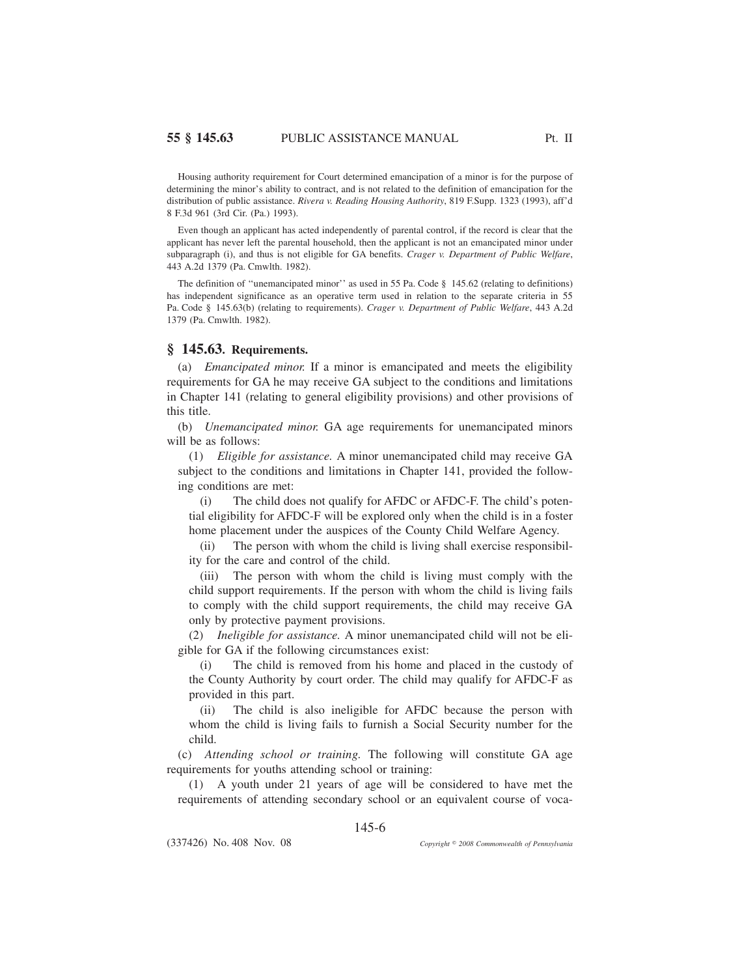Housing authority requirement for Court determined emancipation of a minor is for the purpose of determining the minor's ability to contract, and is not related to the definition of emancipation for the distribution of public assistance. *Rivera v. Reading Housing Authority*, 819 F.Supp. 1323 (1993), aff'd 8 F.3d 961 (3rd Cir. (Pa.) 1993).

Even though an applicant has acted independently of parental control, if the record is clear that the applicant has never left the parental household, then the applicant is not an emancipated minor under subparagraph (i), and thus is not eligible for GA benefits. *Crager v. Department of Public Welfare*, 443 A.2d 1379 (Pa. Cmwlth. 1982).

The definition of "unemancipated minor" as used in 55 Pa. Code § 145.62 (relating to definitions) has independent significance as an operative term used in relation to the separate criteria in 55 Pa. Code § 145.63(b) (relating to requirements). *Crager v. Department of Public Welfare*, 443 A.2d 1379 (Pa. Cmwlth. 1982).

## **§ 145.63. Requirements.**

(a) *Emancipated minor.* If a minor is emancipated and meets the eligibility requirements for GA he may receive GA subject to the conditions and limitations in Chapter 141 (relating to general eligibility provisions) and other provisions of this title.

(b) *Unemancipated minor.* GA age requirements for unemancipated minors will be as follows:

(1) *Eligible for assistance.* A minor unemancipated child may receive GA subject to the conditions and limitations in Chapter 141, provided the following conditions are met:

(i) The child does not qualify for AFDC or AFDC-F. The child's potential eligibility for AFDC-F will be explored only when the child is in a foster home placement under the auspices of the County Child Welfare Agency.

(ii) The person with whom the child is living shall exercise responsibility for the care and control of the child.

(iii) The person with whom the child is living must comply with the child support requirements. If the person with whom the child is living fails to comply with the child support requirements, the child may receive GA only by protective payment provisions.

(2) *Ineligible for assistance.* A minor unemancipated child will not be eligible for GA if the following circumstances exist:

(i) The child is removed from his home and placed in the custody of the County Authority by court order. The child may qualify for AFDC-F as provided in this part.

(ii) The child is also ineligible for AFDC because the person with whom the child is living fails to furnish a Social Security number for the child.

(c) *Attending school or training.* The following will constitute GA age requirements for youths attending school or training:

(1) A youth under 21 years of age will be considered to have met the requirements of attending secondary school or an equivalent course of voca-

145-6

(337426) No. 408 Nov. 08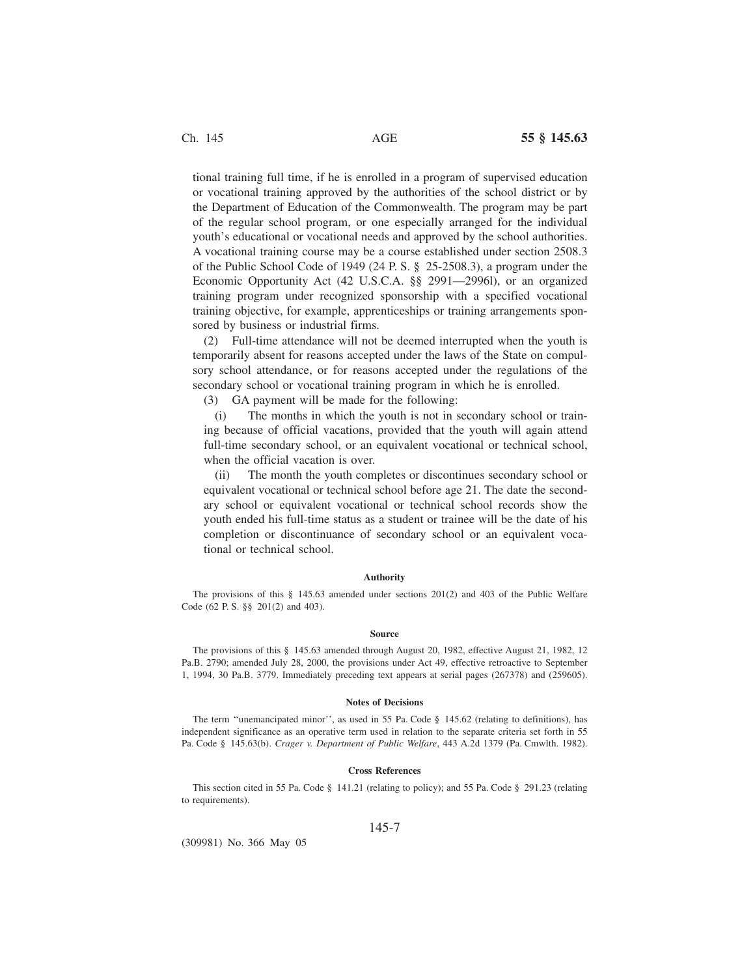tional training full time, if he is enrolled in a program of supervised education or vocational training approved by the authorities of the school district or by the Department of Education of the Commonwealth. The program may be part of the regular school program, or one especially arranged for the individual youth's educational or vocational needs and approved by the school authorities. A vocational training course may be a course established under section 2508.3 of the Public School Code of 1949 (24 P. S. § 25-2508.3), a program under the Economic Opportunity Act (42 U.S.C.A. §§ 2991—2996l), or an organized training program under recognized sponsorship with a specified vocational training objective, for example, apprenticeships or training arrangements sponsored by business or industrial firms.

(2) Full-time attendance will not be deemed interrupted when the youth is temporarily absent for reasons accepted under the laws of the State on compulsory school attendance, or for reasons accepted under the regulations of the secondary school or vocational training program in which he is enrolled.

(3) GA payment will be made for the following:

(i) The months in which the youth is not in secondary school or training because of official vacations, provided that the youth will again attend full-time secondary school, or an equivalent vocational or technical school, when the official vacation is over.

(ii) The month the youth completes or discontinues secondary school or equivalent vocational or technical school before age 21. The date the secondary school or equivalent vocational or technical school records show the youth ended his full-time status as a student or trainee will be the date of his completion or discontinuance of secondary school or an equivalent vocational or technical school.

#### **Authority**

The provisions of this § 145.63 amended under sections 201(2) and 403 of the Public Welfare Code (62 P. S. §§ 201(2) and 403).

#### **Source**

The provisions of this § 145.63 amended through August 20, 1982, effective August 21, 1982, 12 Pa.B. 2790; amended July 28, 2000, the provisions under Act 49, effective retroactive to September 1, 1994, 30 Pa.B. 3779. Immediately preceding text appears at serial pages (267378) and (259605).

#### **Notes of Decisions**

The term "unemancipated minor", as used in 55 Pa. Code § 145.62 (relating to definitions), has independent significance as an operative term used in relation to the separate criteria set forth in 55 Pa. Code § 145.63(b). *Crager v. Department of Public Welfare*, 443 A.2d 1379 (Pa. Cmwlth. 1982).

#### **Cross References**

This section cited in 55 Pa. Code § 141.21 (relating to policy); and 55 Pa. Code § 291.23 (relating to requirements).

### 145-7

(309981) No. 366 May 05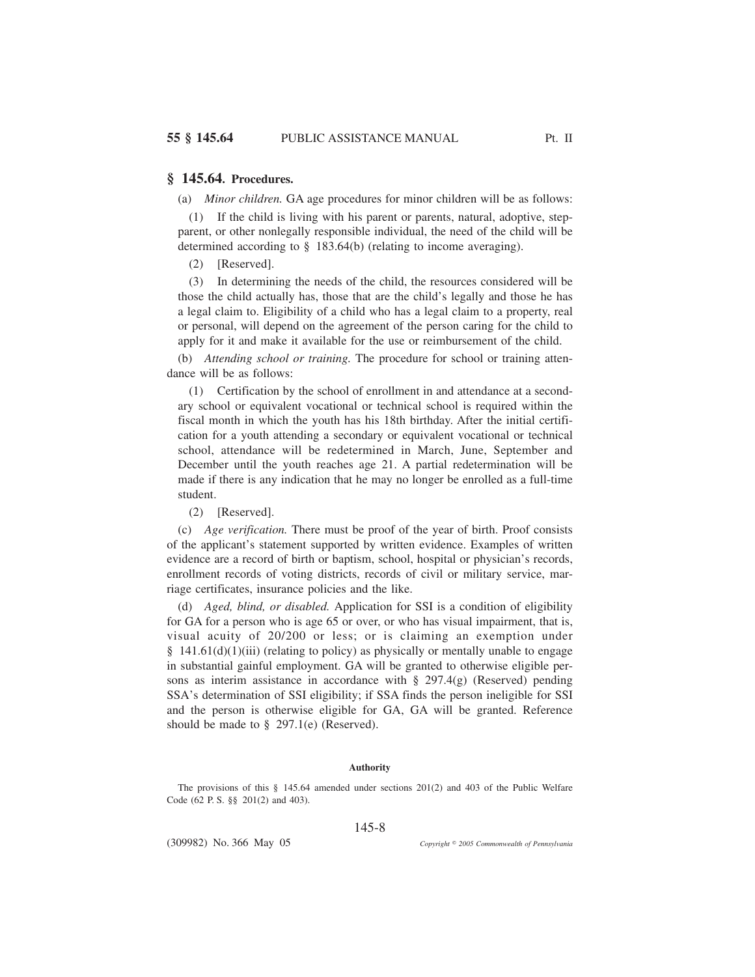(a) *Minor children.* GA age procedures for minor children will be as follows:

(1) If the child is living with his parent or parents, natural, adoptive, stepparent, or other nonlegally responsible individual, the need of the child will be determined according to § 183.64(b) (relating to income averaging).

(2) [Reserved].

(3) In determining the needs of the child, the resources considered will be those the child actually has, those that are the child's legally and those he has a legal claim to. Eligibility of a child who has a legal claim to a property, real or personal, will depend on the agreement of the person caring for the child to apply for it and make it available for the use or reimbursement of the child.

(b) *Attending school or training.* The procedure for school or training attendance will be as follows:

(1) Certification by the school of enrollment in and attendance at a secondary school or equivalent vocational or technical school is required within the fiscal month in which the youth has his 18th birthday. After the initial certification for a youth attending a secondary or equivalent vocational or technical school, attendance will be redetermined in March, June, September and December until the youth reaches age 21. A partial redetermination will be made if there is any indication that he may no longer be enrolled as a full-time student.

(2) [Reserved].

(c) *Age verification.* There must be proof of the year of birth. Proof consists of the applicant's statement supported by written evidence. Examples of written evidence are a record of birth or baptism, school, hospital or physician's records, enrollment records of voting districts, records of civil or military service, marriage certificates, insurance policies and the like.

(d) *Aged, blind, or disabled.* Application for SSI is a condition of eligibility for GA for a person who is age 65 or over, or who has visual impairment, that is, visual acuity of 20/200 or less; or is claiming an exemption under § 141.61(d)(1)(iii) (relating to policy) as physically or mentally unable to engage in substantial gainful employment. GA will be granted to otherwise eligible persons as interim assistance in accordance with  $\S$  297.4(g) (Reserved) pending SSA's determination of SSI eligibility; if SSA finds the person ineligible for SSI and the person is otherwise eligible for GA, GA will be granted. Reference should be made to  $\S$  297.1(e) (Reserved).

#### **Authority**

The provisions of this § 145.64 amended under sections 201(2) and 403 of the Public Welfare Code (62 P. S. §§ 201(2) and 403).

145-8

(309982) No. 366 May 05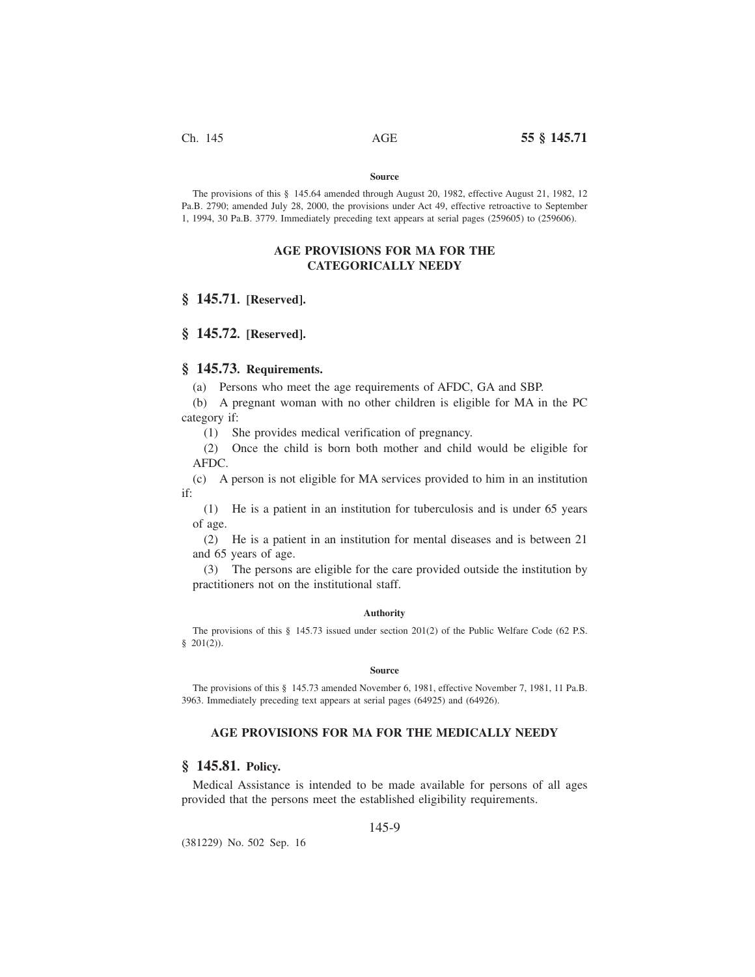#### **Source**

The provisions of this § 145.64 amended through August 20, 1982, effective August 21, 1982, 12 Pa.B. 2790; amended July 28, 2000, the provisions under Act 49, effective retroactive to September 1, 1994, 30 Pa.B. 3779. Immediately preceding text appears at serial pages (259605) to (259606).

## **AGE PROVISIONS FOR MA FOR THE CATEGORICALLY NEEDY**

## **§ 145.71. [Reserved].**

## **§ 145.72. [Reserved].**

### **§ 145.73. Requirements.**

(a) Persons who meet the age requirements of AFDC, GA and SBP.

(b) A pregnant woman with no other children is eligible for MA in the PC category if:

(1) She provides medical verification of pregnancy.

(2) Once the child is born both mother and child would be eligible for AFDC.

(c) A person is not eligible for MA services provided to him in an institution if:

(1) He is a patient in an institution for tuberculosis and is under 65 years of age.

(2) He is a patient in an institution for mental diseases and is between 21 and 65 years of age.

(3) The persons are eligible for the care provided outside the institution by practitioners not on the institutional staff.

### **Authority**

The provisions of this § 145.73 issued under section 201(2) of the Public Welfare Code (62 P.S.  $$201(2)$ .

#### **Source**

The provisions of this § 145.73 amended November 6, 1981, effective November 7, 1981, 11 Pa.B. 3963. Immediately preceding text appears at serial pages (64925) and (64926).

## **AGE PROVISIONS FOR MA FOR THE MEDICALLY NEEDY**

## **§ 145.81. Policy.**

Medical Assistance is intended to be made available for persons of all ages provided that the persons meet the established eligibility requirements.

### 145-9

(381229) No. 502 Sep. 16